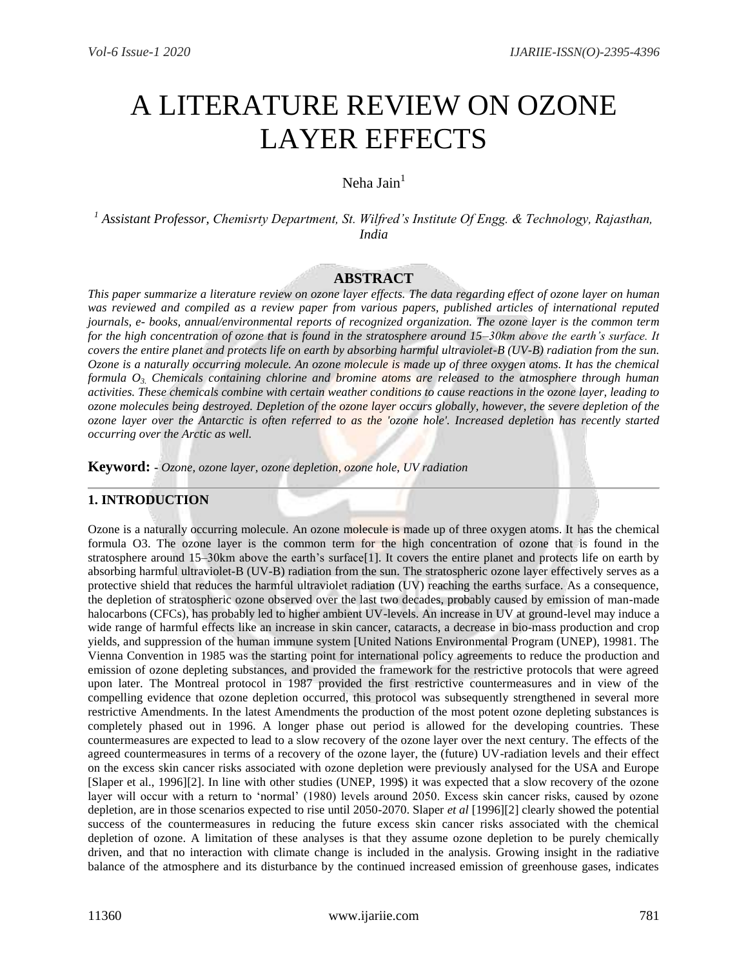# A LITERATURE REVIEW ON OZONE LAYER EFFECTS

## Neha Jain $<sup>1</sup>$ </sup>

*<sup>1</sup> Assistant Professor, Chemisrty Department, St. Wilfred's Institute Of Engg. & Technology, Rajasthan, India*

#### **ABSTRACT**

*This paper summarize a literature review on ozone layer effects. The data regarding effect of ozone layer on human was reviewed and compiled as a review paper from various papers, published articles of international reputed journals, e- books, annual/environmental reports of recognized organization. The ozone layer is the common term for the high concentration of ozone that is found in the stratosphere around 15–30km above the earth's surface. It covers the entire planet and protects life on earth by absorbing harmful ultraviolet-B (UV-B) radiation from the sun. Ozone is a naturally occurring molecule. An ozone molecule is made up of three oxygen atoms. It has the chemical formula O3. Chemicals containing chlorine and bromine atoms are released to the atmosphere through human activities. These chemicals combine with certain weather conditions to cause reactions in the ozone layer, leading to ozone molecules being destroyed. Depletion of the ozone layer occurs globally, however, the severe depletion of the ozone layer over the Antarctic is often referred to as the 'ozone hole'. Increased depletion has recently started occurring over the Arctic as well.*

**Keyword: -** *Ozone, ozone layer, ozone depletion, ozone hole, UV radiation*

## **1. INTRODUCTION**

Ozone is a naturally occurring molecule. An ozone molecule is made up of three oxygen atoms. It has the chemical formula O3. The ozone layer is the common term for the high concentration of ozone that is found in the stratosphere around 15–30km above the earth's surface[1]. It covers the entire planet and protects life on earth by absorbing harmful ultraviolet-B (UV-B) radiation from the sun. The stratospheric ozone layer effectively serves as a protective shield that reduces the harmful ultraviolet radiation (UV) reaching the earths surface. As a consequence, the depletion of stratospheric ozone observed over the last two decades, probably caused by emission of man-made halocarbons (CFCs), has probably led to higher ambient UV-levels. An increase in UV at ground-level may induce a wide range of harmful effects like an increase in skin cancer, cataracts, a decrease in bio-mass production and crop yields, and suppression of the human immune system [United Nations Environmental Program (UNEP), 19981. The Vienna Convention in 1985 was the starting point for international policy agreements to reduce the production and emission of ozone depleting substances, and provided the framework for the restrictive protocols that were agreed upon later. The Montreal protocol in 1987 provided the first restrictive countermeasures and in view of the compelling evidence that ozone depletion occurred, this protocol was subsequently strengthened in several more restrictive Amendments. In the latest Amendments the production of the most potent ozone depleting substances is completely phased out in 1996. A longer phase out period is allowed for the developing countries. These countermeasures are expected to lead to a slow recovery of the ozone layer over the next century. The effects of the agreed countermeasures in terms of a recovery of the ozone layer, the (future) UV-radiation levels and their effect on the excess skin cancer risks associated with ozone depletion were previously analysed for the USA and Europe [Slaper et al., 1996][2]. In line with other studies (UNEP, 199\$) it was expected that a slow recovery of the ozone layer will occur with a return to 'normal' (1980) levels around 2050. Excess skin cancer risks, caused by ozone depletion, are in those scenarios expected to rise until 2050-2070. Slaper *et al* [1996][2] clearly showed the potential success of the countermeasures in reducing the future excess skin cancer risks associated with the chemical depletion of ozone. A limitation of these analyses is that they assume ozone depletion to be purely chemically driven, and that no interaction with climate change is included in the analysis. Growing insight in the radiative balance of the atmosphere and its disturbance by the continued increased emission of greenhouse gases, indicates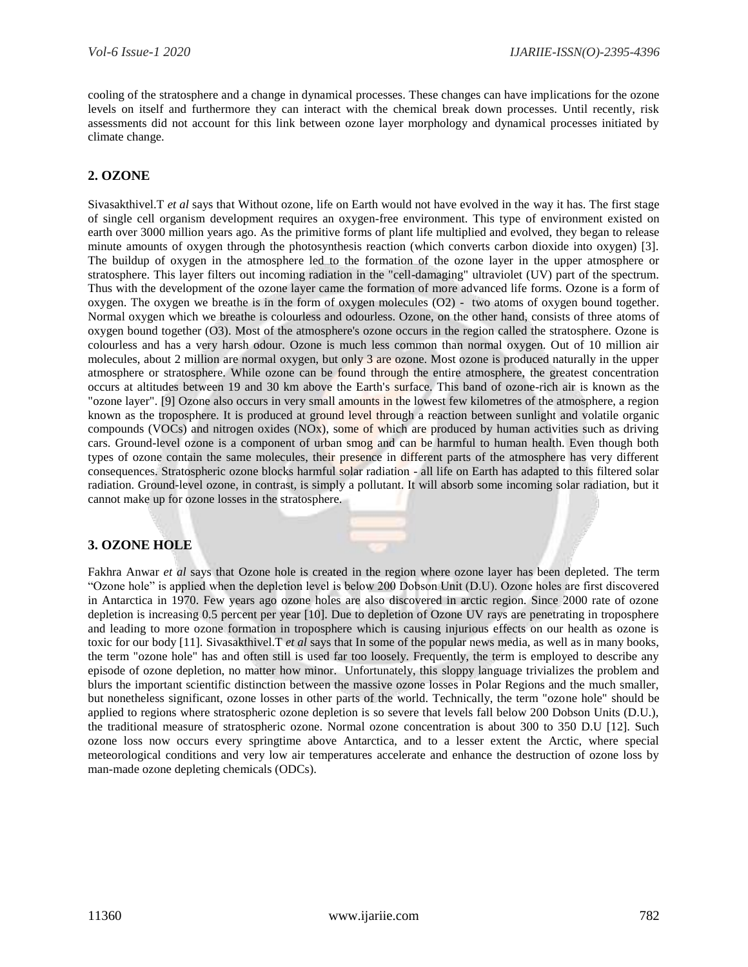cooling of the stratosphere and a change in dynamical processes. These changes can have implications for the ozone levels on itself and furthermore they can interact with the chemical break down processes. Until recently, risk assessments did not account for this link between ozone layer morphology and dynamical processes initiated by climate change.

#### **2. OZONE**

Sivasakthivel.T *et al* says that Without ozone, life on Earth would not have evolved in the way it has. The first stage of single cell organism development requires an oxygen-free environment. This type of environment existed on earth over 3000 million years ago. As the primitive forms of plant life multiplied and evolved, they began to release minute amounts of oxygen through the photosynthesis reaction (which converts carbon dioxide into oxygen) [3]. The buildup of oxygen in the atmosphere led to the formation of the ozone layer in the upper atmosphere or stratosphere. This layer filters out incoming radiation in the "cell-damaging" ultraviolet (UV) part of the spectrum. Thus with the development of the ozone layer came the formation of more advanced life forms. Ozone is a form of oxygen. The oxygen we breathe is in the form of oxygen molecules (O2) - two atoms of oxygen bound together. Normal oxygen which we breathe is colourless and odourless. Ozone, on the other hand, consists of three atoms of oxygen bound together (O3). Most of the atmosphere's ozone occurs in the region called the stratosphere. Ozone is colourless and has a very harsh odour. Ozone is much less common than normal oxygen. Out of 10 million air molecules, about 2 million are normal oxygen, but only 3 are ozone. Most ozone is produced naturally in the upper atmosphere or stratosphere. While ozone can be found through the entire atmosphere, the greatest concentration occurs at altitudes between 19 and 30 km above the Earth's surface. This band of ozone-rich air is known as the "ozone layer". [9] Ozone also occurs in very small amounts in the lowest few kilometres of the atmosphere, a region known as the troposphere. It is produced at ground level through a reaction between sunlight and volatile organic compounds (VOCs) and nitrogen oxides (NOx), some of which are produced by human activities such as driving cars. Ground-level ozone is a component of urban smog and can be harmful to human health. Even though both types of ozone contain the same molecules, their presence in different parts of the atmosphere has very different consequences. Stratospheric ozone blocks harmful solar radiation - all life on Earth has adapted to this filtered solar radiation. Ground-level ozone, in contrast, is simply a pollutant. It will absorb some incoming solar radiation, but it cannot make up for ozone losses in the stratosphere.

#### **3. OZONE HOLE**

Fakhra Anwar *et al* says that Ozone hole is created in the region where ozone layer has been depleted. The term "Ozone hole" is applied when the depletion level is below 200 Dobson Unit (D.U). Ozone holes are first discovered in Antarctica in 1970. Few years ago ozone holes are also discovered in arctic region. Since 2000 rate of ozone depletion is increasing 0.5 percent per year [10]. Due to depletion of Ozone UV rays are penetrating in troposphere and leading to more ozone formation in troposphere which is causing injurious effects on our health as ozone is toxic for our body [11]. Sivasakthivel.T *et al* says that In some of the popular news media, as well as in many books, the term "ozone hole" has and often still is used far too loosely. Frequently, the term is employed to describe any episode of ozone depletion, no matter how minor. Unfortunately, this sloppy language trivializes the problem and blurs the important scientific distinction between the massive ozone losses in Polar Regions and the much smaller, but nonetheless significant, ozone losses in other parts of the world. Technically, the term "ozone hole" should be applied to regions where stratospheric ozone depletion is so severe that levels fall below 200 Dobson Units (D.U.), the traditional measure of stratospheric ozone. Normal ozone concentration is about 300 to 350 D.U [12]. Such ozone loss now occurs every springtime above Antarctica, and to a lesser extent the Arctic, where special meteorological conditions and very low air temperatures accelerate and enhance the destruction of ozone loss by man-made ozone depleting chemicals (ODCs).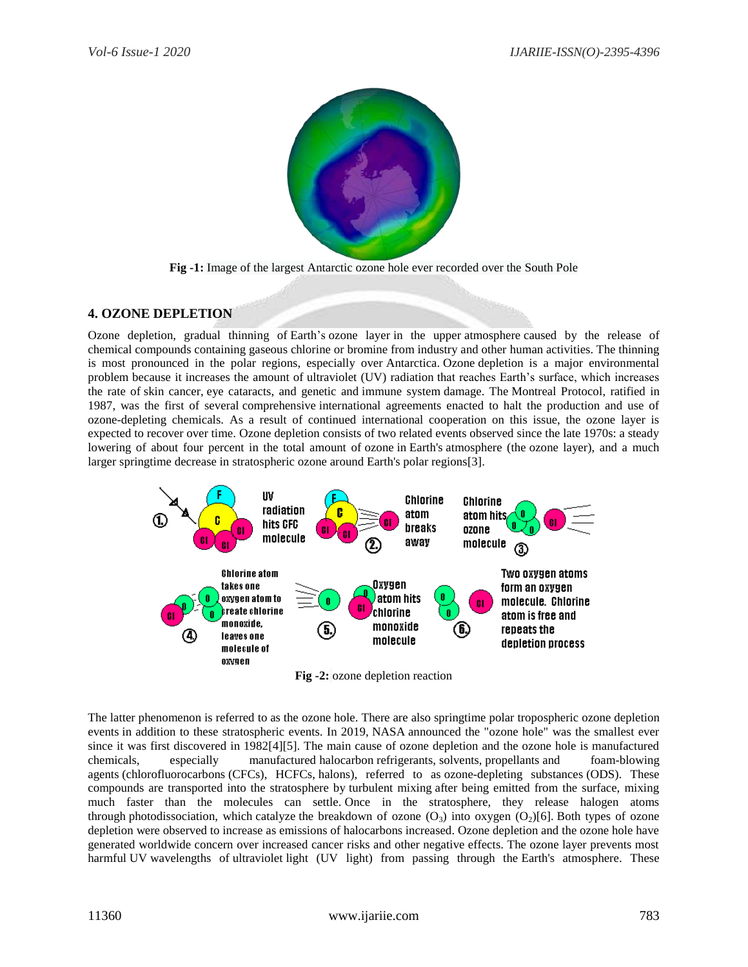

**Fig -1:** Image of the largest [Antarctic](https://en.wikipedia.org/wiki/Antarctic) ozone hole ever recorded over the [South Pole](https://en.wikipedia.org/wiki/South_Pole)

#### **4. OZONE DEPLETION**

Ozone depletion, gradual thinning of [Earth'](https://www.britannica.com/place/Earth)s [ozone layer](https://www.britannica.com/science/ozone-layer) in the upper [atmosphere](https://www.britannica.com/science/atmosphere) caused by the release of chemical [compounds](https://www.merriam-webster.com/dictionary/compounds) containing gaseous [chlorine](https://www.britannica.com/science/chlorine) or [bromine](https://www.britannica.com/science/bromine) from industry and other human activities. The thinning is most pronounced in the polar regions, especially over [Antarctica.](https://www.britannica.com/place/Antarctica) [Ozone](https://www.britannica.com/science/ozone) depletion is a major environmental problem because it increases the amount of [ultraviolet \(UV\) radiation](https://www.britannica.com/science/ultraviolet-radiation) that reaches Earth's surface, which increases the rate of [skin cancer,](https://www.britannica.com/science/skin-cancer) [eye cataracts,](https://www.britannica.com/science/cataract-eye) and genetic and [immune system](https://www.britannica.com/science/immune-system) damage. The [Montreal Protocol,](https://www.britannica.com/event/Montreal-Protocol) ratified in 1987, was the first of several [comprehensive](https://www.merriam-webster.com/dictionary/comprehensive) international agreements enacted to halt the production and use of ozone-depleting chemicals. As a result of continued international cooperation on this issue, the ozone layer is expected to recover over time. Ozone depletion consists of two related events observed since the late 1970s: a steady lowering of about four percent in the total amount of [ozone](https://en.wikipedia.org/wiki/Ozone) in [Earth's](https://en.wikipedia.org/wiki/Earth) atmosphere (the [ozone layer\)](https://en.wikipedia.org/wiki/Ozone_layer), and a much larger springtime decrease in [stratospheric](https://en.wikipedia.org/wiki/Stratospheric) ozone around Earth's polar regions[3].



**Fig -2:** ozone depletion reaction

The latter phenomenon is referred to as the ozone hole. There are also springtime polar [tropospheric ozone depletion](https://en.wikipedia.org/wiki/Tropospheric_ozone_depletion_events)  [events](https://en.wikipedia.org/wiki/Tropospheric_ozone_depletion_events) in addition to these stratospheric events. In 2019, [NASA](https://en.wikipedia.org/wiki/NASA) announced the "ozone hole" was the smallest ever since it was first discovered in 1982[4][5]. The main cause of ozone depletion and the ozone hole is manufactured chemicals, especially manufactured [halocarbon](https://en.wikipedia.org/wiki/Halocarbon) [refrigerants,](https://en.wikipedia.org/wiki/Refrigerant) [solvents,](https://en.wikipedia.org/wiki/Solvent) [propellants](https://en.wikipedia.org/wiki/Propellant) and foam[-blowing](https://en.wikipedia.org/wiki/Blowing_agent)  [agents](https://en.wikipedia.org/wiki/Blowing_agent) [\(chlorofluorocarbons](https://en.wikipedia.org/wiki/Chlorofluorocarbon) (CFCs), HCFCs, [halons\)](https://en.wikipedia.org/wiki/Haloalkanes), referred to as ozone-depleting substances (ODS). These compounds are transported into the stratosphere by [turbulent mixing](https://en.wikipedia.org/wiki/Turbulence) after being emitted from the surface, mixing much faster than the molecules can settle. Once in the stratosphere, they release halogen atoms through [photodissociation,](https://en.wikipedia.org/wiki/Photodissociation) which [catalyze](https://en.wikipedia.org/wiki/Catalyze) the breakdown of ozone  $(O_3)$  into oxygen  $(O_2)[6]$ . Both types of ozone depletion were observed to increase as emissions of halocarbons increased. Ozone depletion and the ozone hole have generated worldwide concern over increased cancer risks and other negative effects. The ozone layer prevents most harmful [UV](https://en.wikipedia.org/wiki/UV) wavelengths of [ultraviolet](https://en.wikipedia.org/wiki/Ultraviolet) light (UV light) from passing through the [Earth's atmosphere.](https://en.wikipedia.org/wiki/Earth%27s_atmosphere) These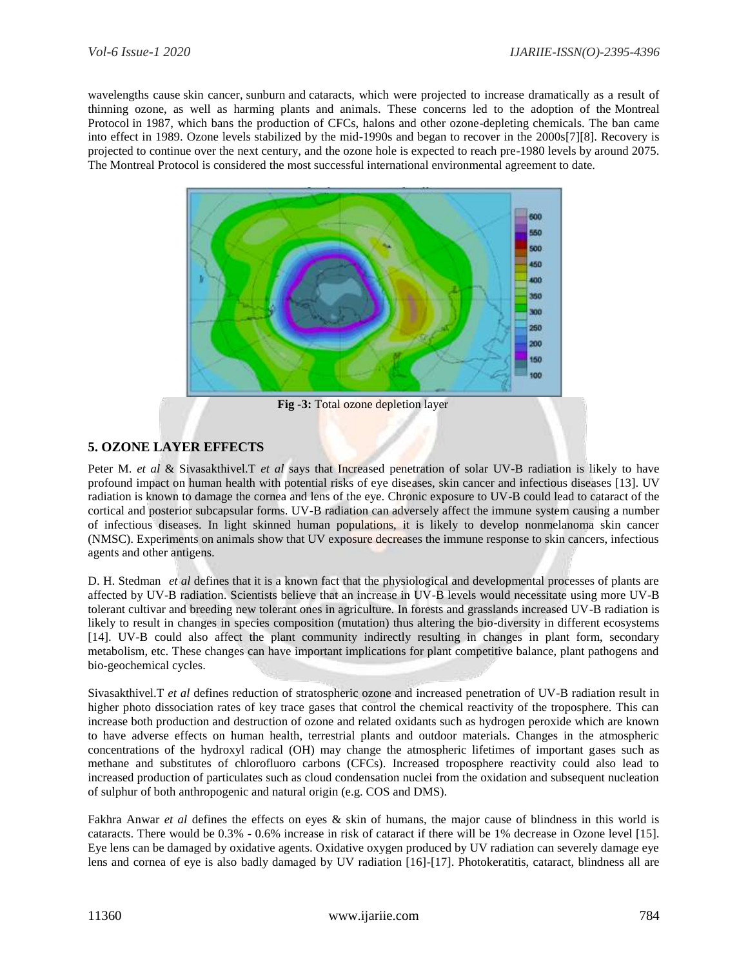wavelengths cause [skin cancer,](https://en.wikipedia.org/wiki/Skin_cancer) [sunburn](https://en.wikipedia.org/wiki/Sunburn) and [cataracts,](https://en.wikipedia.org/wiki/Cataracts) which were projected to increase dramatically as a result of thinning ozone, as well as harming plants and animals. These concerns led to the adoption of the [Montreal](https://en.wikipedia.org/wiki/Montreal_Protocol)  [Protocol](https://en.wikipedia.org/wiki/Montreal_Protocol) in 1987, which bans the production of CFCs, halons and other ozone-depleting chemicals. The ban came into effect in 1989. Ozone levels stabilized by the mid-1990s and began to recover in the 2000s[7][8]. Recovery is projected to continue over the next century, and the ozone hole is expected to reach pre-1980 levels by around 2075. The Montreal Protocol is considered the most successful international environmental agreement to date.



**Fig -3:** Total ozone depletion layer

### **5. OZONE LAYER EFFECTS**

Peter M. *et al* & Sivasakthivel.T *et al* says that Increased penetration of solar UV-B radiation is likely to have profound impact on human health with potential risks of eye diseases, skin cancer and infectious diseases [13]. UV radiation is known to damage the cornea and lens of the eye. Chronic exposure to UV-B could lead to cataract of the cortical and posterior subcapsular forms. UV-B radiation can adversely affect the immune system causing a number of infectious diseases. In light skinned human populations, it is likely to develop nonmelanoma skin cancer (NMSC). Experiments on animals show that UV exposure decreases the immune response to skin cancers, infectious agents and other antigens.

D. H. Stedman *et al* defines that it is a known fact that the physiological and developmental processes of plants are affected by UV-B radiation. Scientists believe that an increase in UV-B levels would necessitate using more UV-B tolerant cultivar and breeding new tolerant ones in agriculture. In forests and grasslands increased UV-B radiation is likely to result in changes in species composition (mutation) thus altering the bio-diversity in different ecosystems [14]. UV-B could also affect the plant community indirectly resulting in changes in plant form, secondary metabolism, etc. These changes can have important implications for plant competitive balance, plant pathogens and bio-geochemical cycles.

Sivasakthivel.T *et al* defines reduction of stratospheric ozone and increased penetration of UV-B radiation result in higher photo dissociation rates of key trace gases that control the chemical reactivity of the troposphere. This can increase both production and destruction of ozone and related oxidants such as hydrogen peroxide which are known to have adverse effects on human health, terrestrial plants and outdoor materials. Changes in the atmospheric concentrations of the hydroxyl radical (OH) may change the atmospheric lifetimes of important gases such as methane and substitutes of chlorofluoro carbons (CFCs). Increased troposphere reactivity could also lead to increased production of particulates such as cloud condensation nuclei from the oxidation and subsequent nucleation of sulphur of both anthropogenic and natural origin (e.g. COS and DMS).

Fakhra Anwar *et al* defines the effects on eyes & skin of humans, the major cause of blindness in this world is cataracts. There would be 0.3% - 0.6% increase in risk of cataract if there will be 1% decrease in Ozone level [15]. Eye lens can be damaged by oxidative agents. Oxidative oxygen produced by UV radiation can severely damage eye lens and cornea of eye is also badly damaged by UV radiation [16]-[17]. Photokeratitis, cataract, blindness all are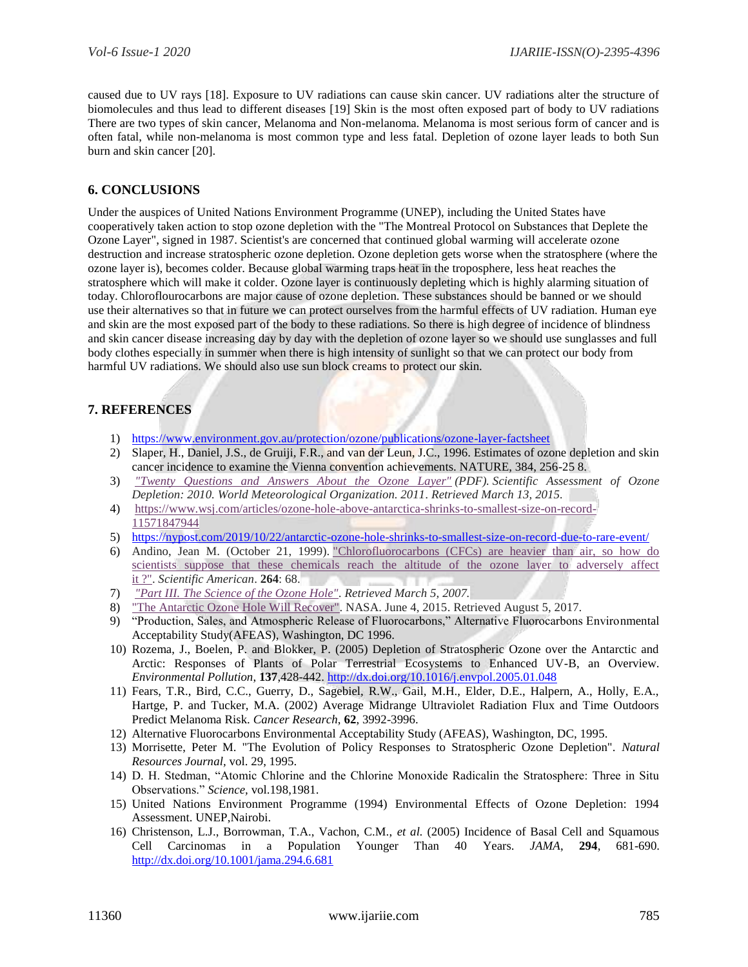caused due to UV rays [18]. Exposure to UV radiations can cause skin cancer. UV radiations alter the structure of biomolecules and thus lead to different diseases [19] Skin is the most often exposed part of body to UV radiations There are two types of skin cancer, Melanoma and Non-melanoma. Melanoma is most serious form of cancer and is often fatal, while non-melanoma is most common type and less fatal. Depletion of ozone layer leads to both Sun burn and skin cancer [20].

#### **6. CONCLUSIONS**

Under the auspices of United Nations Environment Programme (UNEP), including the United States have cooperatively taken action to stop ozone depletion with the "The Montreal Protocol on Substances that Deplete the Ozone Layer", signed in 1987. Scientist's are concerned that continued global warming will accelerate ozone destruction and increase stratospheric ozone depletion. Ozone depletion gets worse when the stratosphere (where the ozone layer is), becomes colder. Because global warming traps heat in the troposphere, less heat reaches the stratosphere which will make it colder. Ozone layer is continuously depleting which is highly alarming situation of today. Chloroflourocarbons are major cause of ozone depletion. These substances should be banned or we should use their alternatives so that in future we can protect ourselves from the harmful effects of UV radiation. Human eye and skin are the most exposed part of the body to these radiations. So there is high degree of incidence of blindness and skin cancer disease increasing day by day with the depletion of ozone layer so we should use sunglasses and full body clothes especially in summer when there is high intensity of sunlight so that we can protect our body from harmful UV radiations. We should also use sun block creams to protect our skin.

## **7. REFERENCES**

- 1) <https://www.environment.gov.au/protection/ozone/publications/ozone-layer-factsheet>
- 2) Slaper, H., Daniel, J.S., de Gruiji, F.R., and van der Leun, J.C., 1996. Estimates of ozone depletion and skin cancer incidence to examine the Vienna convention achievements. NATURE, 384, 256-25 8.
- 3) *["Twenty Questions and Answers About the Ozone Layer"](http://acdb-ext.gsfc.nasa.gov/Documents/O3_Assessments/Docs/WMO_2010/Q2_QA.pdf) (PDF). Scientific Assessment of Ozone Depletion: 2010. World Meteorological Organization. 2011. Retrieved March 13, 2015.*
- 4) [https://www.wsj.com/articles/ozone-hole-above-antarctica-shrinks-to-smallest-size-on-record-](https://www.wsj.com/articles/ozone-hole-above-antarctica-shrinks-to-smallest-size-on-record-11571847944)[11571847944](https://www.wsj.com/articles/ozone-hole-above-antarctica-shrinks-to-smallest-size-on-record-11571847944)
- 5) <https://nypost.com/2019/10/22/antarctic-ozone-hole-shrinks-to-smallest-size-on-record-due-to-rare-event/>
- 6) Andino, Jean M. (October 21, 1999). ["Chlorofluorocarbons \(CFCs\) are heavier](http://www.sciam.com/article.cfm?id=chlorofluorocarbons-cfcs) than air, so how do [scientists suppose that these chemicals reach the altitude of the ozone layer to adversely affect](http://www.sciam.com/article.cfm?id=chlorofluorocarbons-cfcs)  it [?".](http://www.sciam.com/article.cfm?id=chlorofluorocarbons-cfcs) *Scientific American*. **264**: 68.
- 7) *["Part III. The Science of the Ozone Hole".](http://www.atm.ch.cam.ac.uk/tour/part3.html) Retrieved March 5, 2007.*
- 8) ["The Antarctic Ozone Hole Will Recover".](https://svs.gsfc.nasa.gov/30602) NASA. June 4, 2015. Retrieved August 5, 2017.
- 9) "Production, Sales, and Atmospheric Release of Fluorocarbons," Alternative Fluorocarbons Environmental Acceptability Study(AFEAS), Washington, DC 1996.
- 10) Rozema, J., Boelen, P. and Blokker, P. (2005) Depletion of Stratospheric Ozone over the Antarctic and Arctic: Responses of Plants of Polar Terrestrial Ecosystems to Enhanced UV-B, an Overview. *Environmental Pollution*, **137**,428-442.<http://dx.doi.org/10.1016/j.envpol.2005.01.048>
- 11) Fears, T.R., Bird, C.C., Guerry, D., Sagebiel, R.W., Gail, M.H., Elder, D.E., Halpern, A., Holly, E.A., Hartge, P. and Tucker, M.A. (2002) Average Midrange Ultraviolet Radiation Flux and Time Outdoors Predict Melanoma Risk. *Cancer Research*, **62**, 3992-3996.
- 12) Alternative Fluorocarbons Environmental Acceptability Study (AFEAS), Washington, DC, 1995.
- 13) Morrisette, Peter M. "The Evolution of Policy Responses to Stratospheric Ozone Depletion". *Natural Resources Journal,* vol. 29, 1995.
- 14) D. H. Stedman, "Atomic Chlorine and the Chlorine Monoxide Radicalin the Stratosphere: Three in Situ Observations." *Science,* vol.198,1981.
- 15) United Nations Environment Programme (1994) Environmental Effects of Ozone Depletion: 1994 Assessment. UNEP,Nairobi.
- 16) Christenson, L.J., Borrowman, T.A., Vachon, C.M., *et al.* (2005) Incidence of Basal Cell and Squamous Cell Carcinomas in a Population Younger Than 40 Years. *JAMA*, **294**, 681-690. <http://dx.doi.org/10.1001/jama.294.6.681>